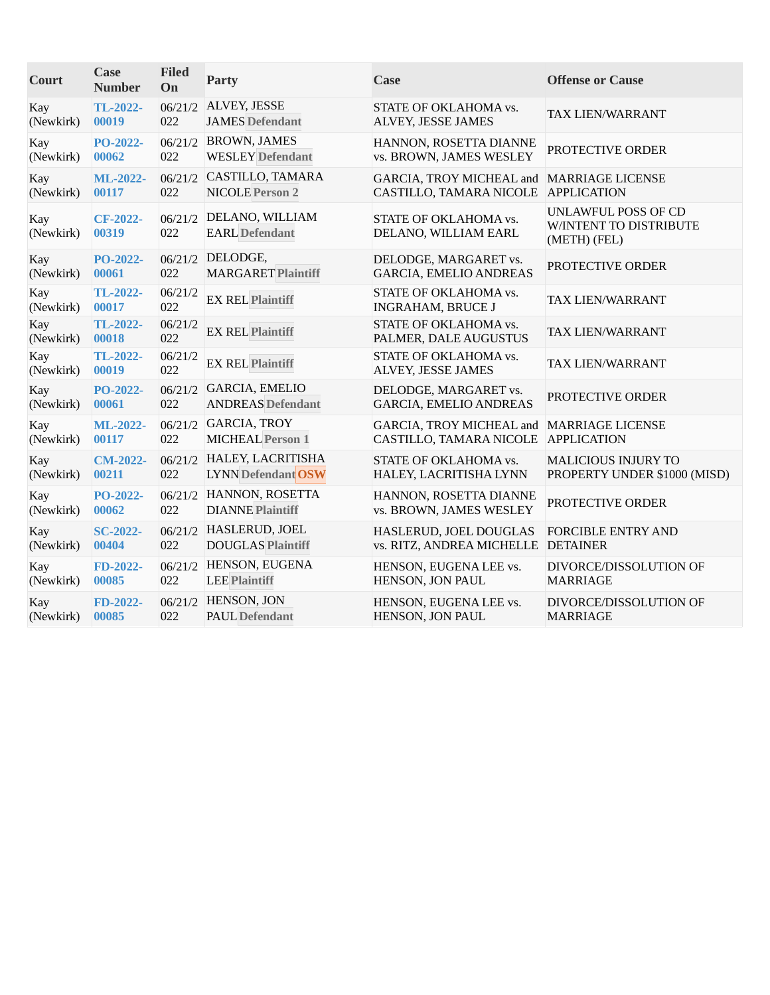| Court            | <b>Case</b><br><b>Number</b> | <b>Filed</b><br>On | <b>Party</b>                             | Case                                              | <b>Offense or Cause</b>                                       |
|------------------|------------------------------|--------------------|------------------------------------------|---------------------------------------------------|---------------------------------------------------------------|
| Kay              | TL-2022-                     | 06/21/2            | ALVEY, JESSE                             | STATE OF OKLAHOMA vs.                             | TAX LIEN/WARRANT                                              |
| (Newkirk)        | 00019                        | 022                | <b>JAMES</b> Defendant                   | ALVEY, JESSE JAMES                                |                                                               |
| Kay              | PO-2022-                     | 06/21/2            | <b>BROWN, JAMES</b>                      | HANNON, ROSETTA DIANNE                            | PROTECTIVE ORDER                                              |
| (Newkirk)        | 00062                        | 022                | <b>WESLEY</b> Defendant                  | vs. BROWN, JAMES WESLEY                           |                                                               |
| Kay              | <b>ML-2022-</b>              | 06/21/2            | CASTILLO, TAMARA                         | GARCIA, TROY MICHEAL and MARRIAGE LICENSE         | <b>APPLICATION</b>                                            |
| (Newkirk)        | 00117                        | 022                | <b>NICOLE Person 2</b>                   | CASTILLO, TAMARA NICOLE                           |                                                               |
| Kay<br>(Newkirk) | <b>CF-2022-</b><br>00319     | 06/21/2<br>022     | DELANO, WILLIAM<br><b>EARL</b> Defendant | STATE OF OKLAHOMA vs.<br>DELANO, WILLIAM EARL     | UNLAWFUL POSS OF CD<br>W/INTENT TO DISTRIBUTE<br>(METH) (FEL) |
| Kay              | PO-2022-                     | 06/21/2            | DELODGE,                                 | DELODGE, MARGARET vs.                             | PROTECTIVE ORDER                                              |
| (Newkirk)        | 00061                        | 022                | <b>MARGARET Plaintiff</b>                | <b>GARCIA, EMELIO ANDREAS</b>                     |                                                               |
| Kay<br>(Newkirk) | TL-2022-<br>00017            | 06/21/2<br>022     | <b>EX REL Plaintiff</b>                  | STATE OF OKLAHOMA vs.<br><b>INGRAHAM, BRUCE J</b> | TAX LIEN/WARRANT                                              |
| Kay<br>(Newkirk) | TL-2022-<br>00018            | 06/21/2<br>022     | <b>EX REL Plaintiff</b>                  | STATE OF OKLAHOMA vs.<br>PALMER, DALE AUGUSTUS    | TAX LIEN/WARRANT                                              |
| Kay<br>(Newkirk) | TL-2022-<br>00019            | 06/21/2<br>022     | <b>EX REL Plaintiff</b>                  | STATE OF OKLAHOMA vs.<br>ALVEY, JESSE JAMES       | TAX LIEN/WARRANT                                              |
| Kay              | PO-2022-                     | 06/21/2            | <b>GARCIA, EMELIO</b>                    | DELODGE, MARGARET vs.                             | PROTECTIVE ORDER                                              |
| (Newkirk)        | 00061                        | 022                | <b>ANDREAS</b> Defendant                 | <b>GARCIA, EMELIO ANDREAS</b>                     |                                                               |
| Kay              | ML-2022-                     | 06/21/2            | <b>GARCIA, TROY</b>                      | GARCIA, TROY MICHEAL and                          | <b>MARRIAGE LICENSE</b>                                       |
| (Newkirk)        | 00117                        | 022                | <b>MICHEAL Person 1</b>                  | CASTILLO, TAMARA NICOLE                           | <b>APPLICATION</b>                                            |
| Kay              | <b>CM-2022-</b>              | 06/21/2            | HALEY, LACRITISHA                        | STATE OF OKLAHOMA vs.                             | <b>MALICIOUS INJURY TO</b>                                    |
| (Newkirk)        | 00211                        | 022                | <b>LYNN Defendant OSW</b>                | HALEY, LACRITISHA LYNN                            | PROPERTY UNDER \$1000 (MISD)                                  |
| Kay              | PO-2022-                     | 06/21/2            | HANNON, ROSETTA                          | HANNON, ROSETTA DIANNE                            | PROTECTIVE ORDER                                              |
| (Newkirk)        | 00062                        | 022                | <b>DIANNE Plaintiff</b>                  | vs. BROWN, JAMES WESLEY                           |                                                               |
| Kay              | <b>SC-2022-</b>              | 06/21/2            | HASLERUD, JOEL                           | HASLERUD, JOEL DOUGLAS                            | <b>FORCIBLE ENTRY AND</b>                                     |
| (Newkirk)        | 00404                        | 022                | <b>DOUGLAS Plaintiff</b>                 | vs. RITZ, ANDREA MICHELLE                         | <b>DETAINER</b>                                               |
| Kay              | FD-2022-                     | 06/21/2            | HENSON, EUGENA                           | HENSON, EUGENA LEE vs.                            | DIVORCE/DISSOLUTION OF                                        |
| (Newkirk)        | 00085                        | 022                | <b>LEE Plaintiff</b>                     | HENSON, JON PAUL                                  | <b>MARRIAGE</b>                                               |
| Kay              | FD-2022-                     | 06/21/2            | HENSON, JON                              | HENSON, EUGENA LEE vs.                            | DIVORCE/DISSOLUTION OF                                        |
| (Newkirk)        | 00085                        | 022                | <b>PAUL Defendant</b>                    | HENSON, JON PAUL                                  | <b>MARRIAGE</b>                                               |